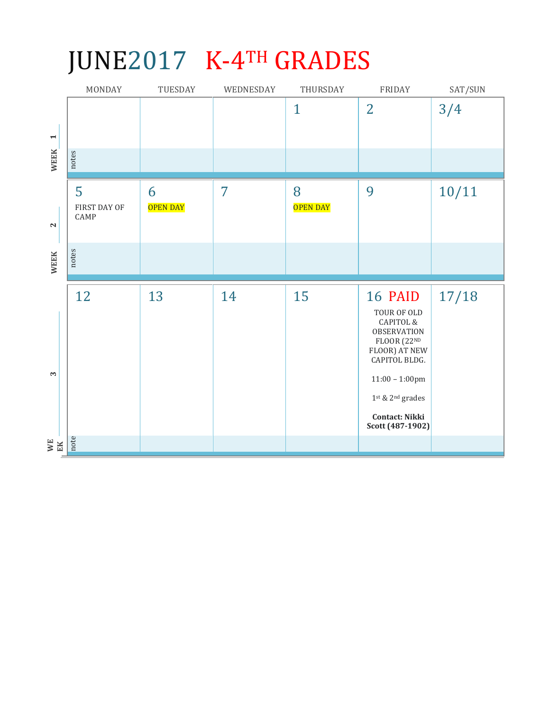## JUNE2017 K-4TH GRADES